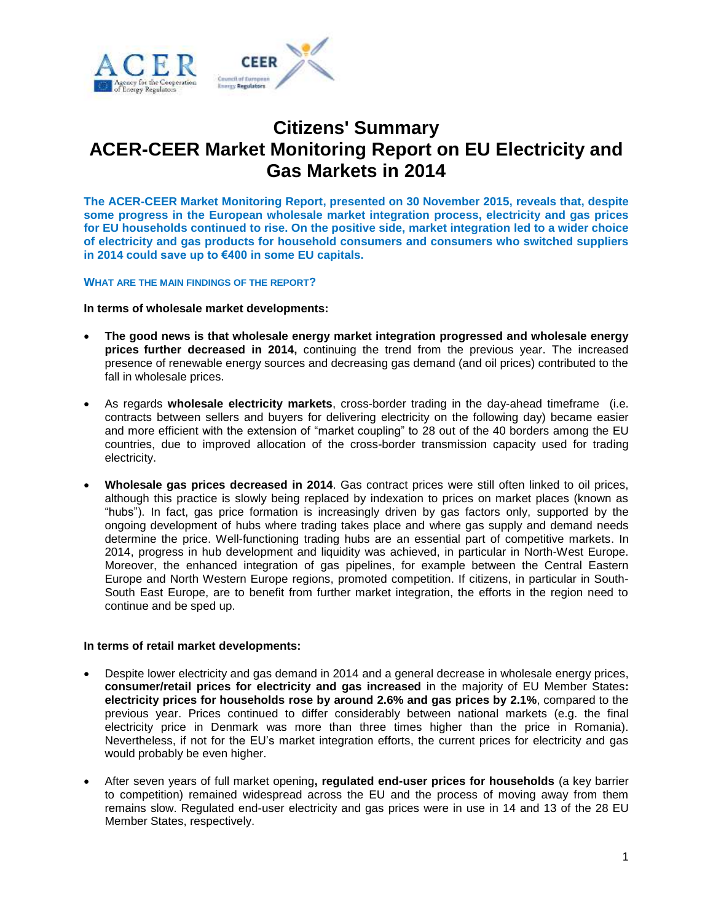

# **Citizens' Summary ACER-CEER Market Monitoring Report on EU Electricity and Gas Markets in 2014**

**The ACER-CEER Market Monitoring Report, presented on 30 November 2015, reveals that, despite some progress in the European wholesale market integration process, electricity and gas prices for EU households continued to rise. On the positive side, market integration led to a wider choice of electricity and gas products for household consumers and consumers who switched suppliers in 2014 could save up to €400 in some EU capitals.**

## **WHAT ARE THE MAIN FINDINGS OF THE REPORT?**

**In terms of wholesale market developments:**

- **The good news is that wholesale energy market integration progressed and wholesale energy prices further decreased in 2014,** continuing the trend from the previous year. The increased presence of renewable energy sources and decreasing gas demand (and oil prices) contributed to the fall in wholesale prices.
- As regards **wholesale electricity markets**, cross-border trading in the day-ahead timeframe (i.e. contracts between sellers and buyers for delivering electricity on the following day) became easier and more efficient with the extension of "market coupling" to 28 out of the 40 borders among the EU countries, due to improved allocation of the cross-border transmission capacity used for trading electricity.
- **Wholesale gas prices decreased in 2014**. Gas contract prices were still often linked to oil prices, although this practice is slowly being replaced by indexation to prices on market places (known as "hubs"). In fact, gas price formation is increasingly driven by gas factors only, supported by the ongoing development of hubs where trading takes place and where gas supply and demand needs determine the price. Well-functioning trading hubs are an essential part of competitive markets. In 2014, progress in hub development and liquidity was achieved, in particular in North-West Europe. Moreover, the enhanced integration of gas pipelines, for example between the Central Eastern Europe and North Western Europe regions, promoted competition. If citizens, in particular in South-South East Europe, are to benefit from further market integration, the efforts in the region need to continue and be sped up.

#### **In terms of retail market developments:**

- Despite lower electricity and gas demand in 2014 and a general decrease in wholesale energy prices, **consumer/retail prices for electricity and gas increased** in the majority of EU Member States**: electricity prices for households rose by around 2.6% and gas prices by 2.1%**, compared to the previous year. Prices continued to differ considerably between national markets (e.g. the final electricity price in Denmark was more than three times higher than the price in Romania). Nevertheless, if not for the EU's market integration efforts, the current prices for electricity and gas would probably be even higher.
- After seven years of full market opening**, regulated end-user prices for households** (a key barrier to competition) remained widespread across the EU and the process of moving away from them remains slow. Regulated end-user electricity and gas prices were in use in 14 and 13 of the 28 EU Member States, respectively.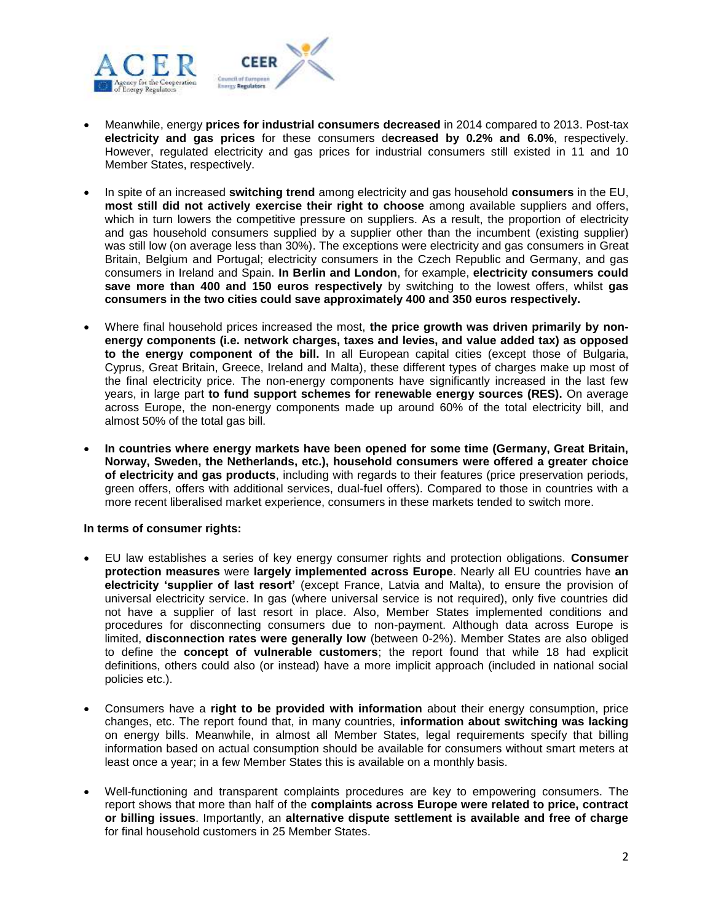

- Meanwhile, energy **prices for industrial consumers decreased** in 2014 compared to 2013. Post-tax **electricity and gas prices** for these consumers d**ecreased by 0.2% and 6.0%**, respectively. However, regulated electricity and gas prices for industrial consumers still existed in 11 and 10 Member States, respectively.
- In spite of an increased **switching trend** among electricity and gas household **consumers** in the EU, **most still did not actively exercise their right to choose** among available suppliers and offers, which in turn lowers the competitive pressure on suppliers. As a result, the proportion of electricity and gas household consumers supplied by a supplier other than the incumbent (existing supplier) was still low (on average less than 30%). The exceptions were electricity and gas consumers in Great Britain, Belgium and Portugal; electricity consumers in the Czech Republic and Germany, and gas consumers in Ireland and Spain. **In Berlin and London**, for example, **electricity consumers could save more than 400 and 150 euros respectively** by switching to the lowest offers, whilst **gas consumers in the two cities could save approximately 400 and 350 euros respectively.**
- Where final household prices increased the most, **the price growth was driven primarily by nonenergy components (i.e. network charges, taxes and levies, and value added tax) as opposed to the energy component of the bill.** In all European capital cities (except those of Bulgaria, Cyprus, Great Britain, Greece, Ireland and Malta), these different types of charges make up most of the final electricity price. The non-energy components have significantly increased in the last few years, in large part **to fund support schemes for renewable energy sources (RES).** On average across Europe, the non-energy components made up around 60% of the total electricity bill, and almost 50% of the total gas bill.
- **In countries where energy markets have been opened for some time (Germany, Great Britain, Norway, Sweden, the Netherlands, etc.), household consumers were offered a greater choice of electricity and gas products**, including with regards to their features (price preservation periods, green offers, offers with additional services, dual-fuel offers). Compared to those in countries with a more recent liberalised market experience, consumers in these markets tended to switch more.

# **In terms of consumer rights:**

- EU law establishes a series of key energy consumer rights and protection obligations. **Consumer protection measures** were **largely implemented across Europe**. Nearly all EU countries have **an electricity 'supplier of last resort'** (except France, Latvia and Malta), to ensure the provision of universal electricity service. In gas (where universal service is not required), only five countries did not have a supplier of last resort in place. Also, Member States implemented conditions and procedures for disconnecting consumers due to non-payment. Although data across Europe is limited, **disconnection rates were generally low** (between 0-2%). Member States are also obliged to define the **concept of vulnerable customers**; the report found that while 18 had explicit definitions, others could also (or instead) have a more implicit approach (included in national social policies etc.).
- Consumers have a **right to be provided with information** about their energy consumption, price changes, etc. The report found that, in many countries, **information about switching was lacking**  on energy bills. Meanwhile, in almost all Member States, legal requirements specify that billing information based on actual consumption should be available for consumers without smart meters at least once a year; in a few Member States this is available on a monthly basis.
- Well-functioning and transparent complaints procedures are key to empowering consumers. The report shows that more than half of the **complaints across Europe were related to price, contract or billing issues**. Importantly, an **alternative dispute settlement is available and free of charge**  for final household customers in 25 Member States.